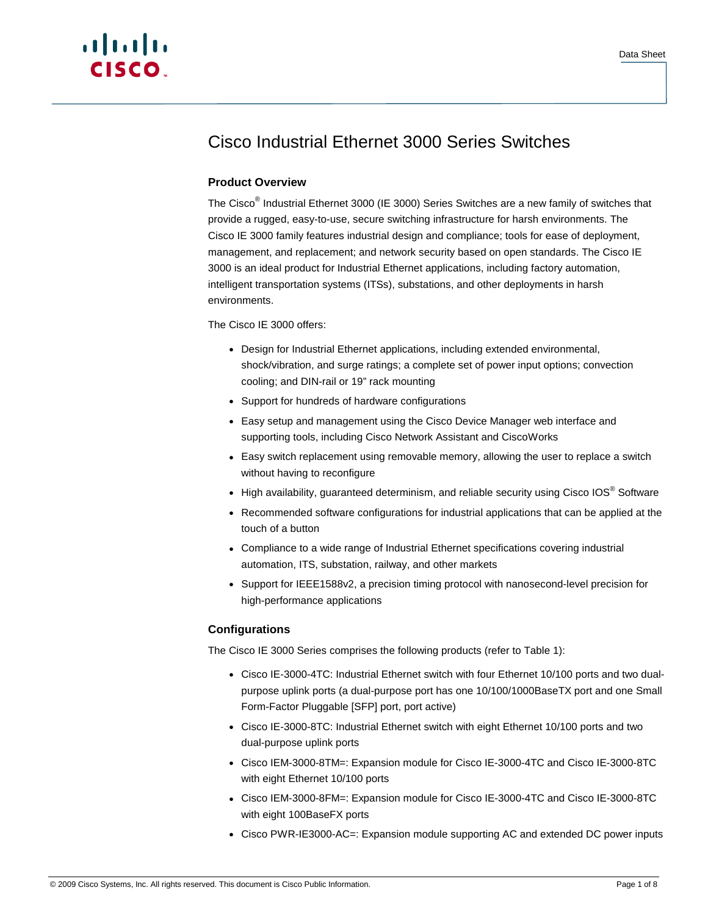

# Cisco Industrial Ethernet 3000 Series Switches

# **Product Overview**

The Cisco<sup>®</sup> Industrial Ethernet 3000 (IE 3000) Series Switches are a new family of switches that provide a rugged, easy-to-use, secure switching infrastructure for harsh environments. The Cisco IE 3000 family features industrial design and compliance; tools for ease of deployment, management, and replacement; and network security based on open standards. The Cisco IE 3000 is an ideal product for Industrial Ethernet applications, including factory automation, intelligent transportation systems (ITSs), substations, and other deployments in harsh environments.

# The Cisco IE 3000 offers:

- Design for Industrial Ethernet applications, including extended environmental, shock/vibration, and surge ratings; a complete set of power input options; convection cooling; and DIN-rail or 19" rack mounting
- Support for hundreds of hardware configurations
- Easy setup and management using the Cisco Device Manager web interface and supporting tools, including Cisco Network Assistant and CiscoWorks
- Easy switch replacement using removable memory, allowing the user to replace a switch without having to reconfigure
- High availability, guaranteed determinism, and reliable security using Cisco IOS<sup>®</sup> Software
- Recommended software configurations for industrial applications that can be applied at the touch of a button
- Compliance to a wide range of Industrial Ethernet specifications covering industrial automation, ITS, substation, railway, and other markets
- Support for IEEE1588v2, a precision timing protocol with nanosecond-level precision for high-performance applications

# **Configurations**

The Cisco IE 3000 Series comprises the following products (refer to Table 1):

- Cisco IE-3000-4TC: Industrial Ethernet switch with four Ethernet 10/100 ports and two dualpurpose uplink ports (a dual-purpose port has one 10/100/1000BaseTX port and one Small Form-Factor Pluggable [SFP] port, port active)
- Cisco IE-3000-8TC: Industrial Ethernet switch with eight Ethernet 10/100 ports and two dual-purpose uplink ports
- Cisco IEM-3000-8TM=: Expansion module for Cisco IE-3000-4TC and Cisco IE-3000-8TC with eight Ethernet 10/100 ports
- Cisco IEM-3000-8FM=: Expansion module for Cisco IE-3000-4TC and Cisco IE-3000-8TC with eight 100BaseFX ports
- Cisco PWR-IE3000-AC=: Expansion module supporting AC and extended DC power inputs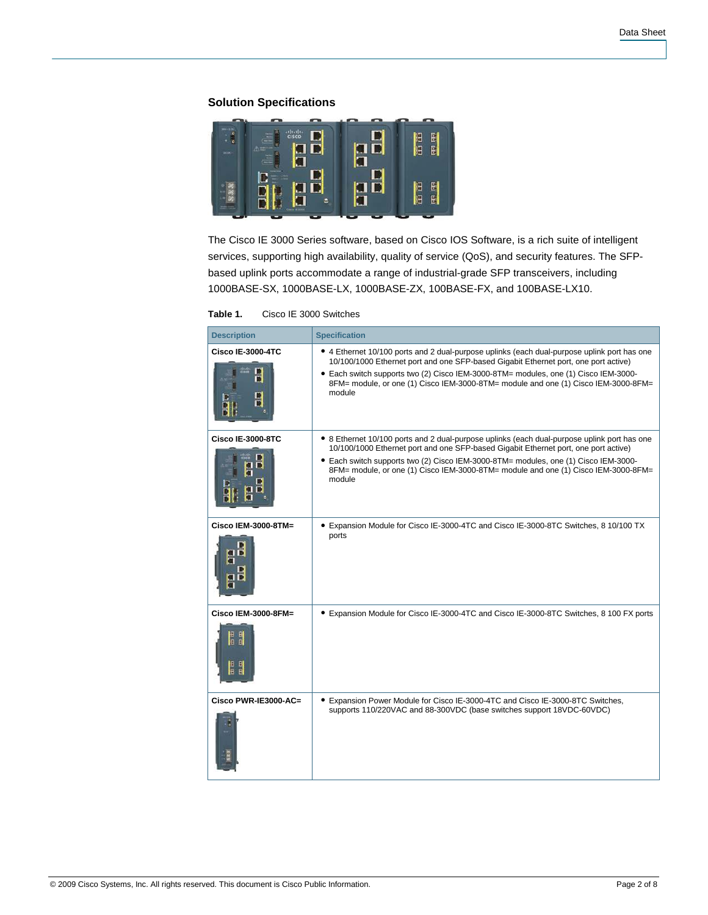# **Solution Specifications**



The Cisco IE 3000 Series software, based on Cisco IOS Software, is a rich suite of intelligent services, supporting high availability, quality of service (QoS), and security features. The SFPbased uplink ports accommodate a range of industrial-grade SFP transceivers, including 1000BASE-SX, 1000BASE-LX, 1000BASE-ZX, 100BASE-FX, and 100BASE-LX10.

| <b>Description</b>                             | <b>Specification</b>                                                                                                                                                                                                                                                                                                                                                      |
|------------------------------------------------|---------------------------------------------------------------------------------------------------------------------------------------------------------------------------------------------------------------------------------------------------------------------------------------------------------------------------------------------------------------------------|
| <b>Cisco IE-3000-4TC</b><br>D<br>O<br>П        | • 4 Ethernet 10/100 ports and 2 dual-purpose uplinks (each dual-purpose uplink port has one<br>10/100/1000 Ethernet port and one SFP-based Gigabit Ethernet port, one port active)<br>• Each switch supports two (2) Cisco IEM-3000-8TM= modules, one (1) Cisco IEM-3000-<br>8FM= module, or one (1) Cisco IEM-3000-8TM= module and one (1) Cisco IEM-3000-8FM=<br>module |
| <b>Cisco IE-3000-8TC</b>                       | • 8 Ethernet 10/100 ports and 2 dual-purpose uplinks (each dual-purpose uplink port has one<br>10/100/1000 Ethernet port and one SFP-based Gigabit Ethernet port, one port active)<br>• Each switch supports two (2) Cisco IEM-3000-8TM= modules, one (1) Cisco IEM-3000-<br>8FM= module, or one (1) Cisco IEM-3000-8TM= module and one (1) Cisco IEM-3000-8FM=<br>module |
| Cisco IEM-3000-8TM=<br>п                       | • Expansion Module for Cisco IE-3000-4TC and Cisco IE-3000-8TC Switches, 8 10/100 TX<br>ports                                                                                                                                                                                                                                                                             |
| Cisco IEM-3000-8FM=<br>日間<br>ia<br>B<br>B<br>R | • Expansion Module for Cisco IE-3000-4TC and Cisco IE-3000-8TC Switches, 8 100 FX ports                                                                                                                                                                                                                                                                                   |
| Cisco PWR-IE3000-AC=                           | • Expansion Power Module for Cisco IE-3000-4TC and Cisco IE-3000-8TC Switches,<br>supports 110/220VAC and 88-300VDC (base switches support 18VDC-60VDC)                                                                                                                                                                                                                   |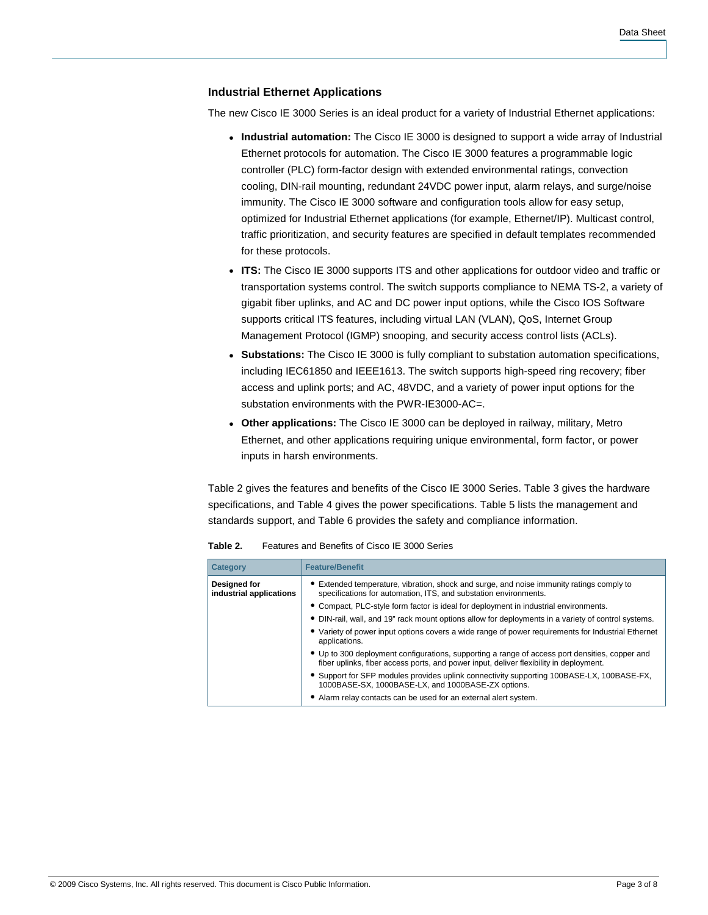#### **Industrial Ethernet Applications**

The new Cisco IE 3000 Series is an ideal product for a variety of Industrial Ethernet applications:

- **Industrial automation:** The Cisco IE 3000 is designed to support a wide array of Industrial Ethernet protocols for automation. The Cisco IE 3000 features a programmable logic controller (PLC) form-factor design with extended environmental ratings, convection cooling, DIN-rail mounting, redundant 24VDC power input, alarm relays, and surge/noise immunity. The Cisco IE 3000 software and configuration tools allow for easy setup, optimized for Industrial Ethernet applications (for example, Ethernet/IP). Multicast control, traffic prioritization, and security features are specified in default templates recommended for these protocols.
- **ITS:** The Cisco IE 3000 supports ITS and other applications for outdoor video and traffic or transportation systems control. The switch supports compliance to NEMA TS-2, a variety of gigabit fiber uplinks, and AC and DC power input options, while the Cisco IOS Software supports critical ITS features, including virtual LAN (VLAN), QoS, Internet Group Management Protocol (IGMP) snooping, and security access control lists (ACLs).
- **Substations:** The Cisco IE 3000 is fully compliant to substation automation specifications, including IEC61850 and IEEE1613. The switch supports high-speed ring recovery; fiber access and uplink ports; and AC, 48VDC, and a variety of power input options for the substation environments with the PWR-IE3000-AC=.
- **Other applications:** The Cisco IE 3000 can be deployed in railway, military, Metro Ethernet, and other applications requiring unique environmental, form factor, or power inputs in harsh environments.

Table 2 gives the features and benefits of the Cisco IE 3000 Series. Table 3 gives the hardware specifications, and Table 4 gives the power specifications. Table 5 lists the management and standards support, and Table 6 provides the safety and compliance information.

| <b>Category</b>                         | <b>Feature/Benefit</b>                                                                                                                                                                   |
|-----------------------------------------|------------------------------------------------------------------------------------------------------------------------------------------------------------------------------------------|
| Designed for<br>industrial applications | • Extended temperature, vibration, shock and surge, and noise immunity ratings comply to<br>specifications for automation, ITS, and substation environments.                             |
|                                         | • Compact, PLC-style form factor is ideal for deployment in industrial environments.                                                                                                     |
|                                         | • DIN-rail, wall, and 19" rack mount options allow for deployments in a variety of control systems.                                                                                      |
|                                         | • Variety of power input options covers a wide range of power requirements for Industrial Ethernet<br>applications.                                                                      |
|                                         | • Up to 300 deployment configurations, supporting a range of access port densities, copper and<br>fiber uplinks, fiber access ports, and power input, deliver flexibility in deployment. |
|                                         | • Support for SFP modules provides uplink connectivity supporting 100BASE-LX, 100BASE-FX,<br>1000BASE-SX, 1000BASE-LX, and 1000BASE-ZX options.                                          |
|                                         | • Alarm relay contacts can be used for an external alert system.                                                                                                                         |

**Table 2.** Features and Benefits of Cisco IE 3000 Series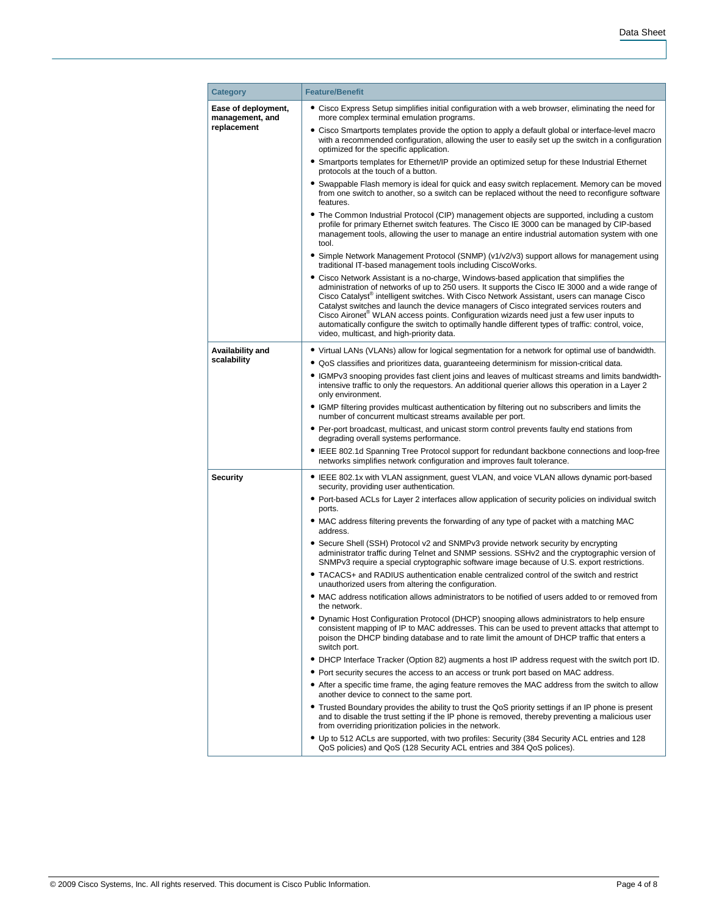| <b>Category</b>                        | <b>Feature/Benefit</b>                                                                                                                                                                                                                                                                                                                                                                                                                                                                                                                                                                                                                                       |
|----------------------------------------|--------------------------------------------------------------------------------------------------------------------------------------------------------------------------------------------------------------------------------------------------------------------------------------------------------------------------------------------------------------------------------------------------------------------------------------------------------------------------------------------------------------------------------------------------------------------------------------------------------------------------------------------------------------|
| Ease of deployment,<br>management, and | • Cisco Express Setup simplifies initial configuration with a web browser, eliminating the need for<br>more complex terminal emulation programs.                                                                                                                                                                                                                                                                                                                                                                                                                                                                                                             |
| replacement                            | • Cisco Smartports templates provide the option to apply a default global or interface-level macro<br>with a recommended configuration, allowing the user to easily set up the switch in a configuration<br>optimized for the specific application.                                                                                                                                                                                                                                                                                                                                                                                                          |
|                                        | • Smartports templates for Ethernet/IP provide an optimized setup for these Industrial Ethernet<br>protocols at the touch of a button.                                                                                                                                                                                                                                                                                                                                                                                                                                                                                                                       |
|                                        | • Swappable Flash memory is ideal for quick and easy switch replacement. Memory can be moved<br>from one switch to another, so a switch can be replaced without the need to reconfigure software<br>features.                                                                                                                                                                                                                                                                                                                                                                                                                                                |
|                                        | • The Common Industrial Protocol (CIP) management objects are supported, including a custom<br>profile for primary Ethernet switch features. The Cisco IE 3000 can be managed by CIP-based<br>management tools, allowing the user to manage an entire industrial automation system with one<br>tool.                                                                                                                                                                                                                                                                                                                                                         |
|                                        | • Simple Network Management Protocol (SNMP) (v1/v2/v3) support allows for management using<br>traditional IT-based management tools including CiscoWorks.                                                                                                                                                                                                                                                                                                                                                                                                                                                                                                    |
|                                        | • Cisco Network Assistant is a no-charge, Windows-based application that simplifies the<br>administration of networks of up to 250 users. It supports the Cisco IE 3000 and a wide range of<br>Cisco Catalyst <sup>®</sup> intelligent switches. With Cisco Network Assistant, users can manage Cisco<br>Catalyst switches and launch the device managers of Cisco integrated services routers and<br>Cisco Aironet <sup>®</sup> WLAN access points. Configuration wizards need just a few user inputs to<br>automatically configure the switch to optimally handle different types of traffic: control, voice,<br>video, multicast, and high-priority data. |
| Availability and                       | • Virtual LANs (VLANs) allow for logical segmentation for a network for optimal use of bandwidth.                                                                                                                                                                                                                                                                                                                                                                                                                                                                                                                                                            |
| scalability                            | • QoS classifies and prioritizes data, quaranteeing determinism for mission-critical data.                                                                                                                                                                                                                                                                                                                                                                                                                                                                                                                                                                   |
|                                        | • IGMPv3 snooping provides fast client joins and leaves of multicast streams and limits bandwidth-<br>intensive traffic to only the requestors. An additional querier allows this operation in a Layer 2<br>only environment.                                                                                                                                                                                                                                                                                                                                                                                                                                |
|                                        | • IGMP filtering provides multicast authentication by filtering out no subscribers and limits the<br>number of concurrent multicast streams available per port.                                                                                                                                                                                                                                                                                                                                                                                                                                                                                              |
|                                        | • Per-port broadcast, multicast, and unicast storm control prevents faulty end stations from<br>degrading overall systems performance.                                                                                                                                                                                                                                                                                                                                                                                                                                                                                                                       |
|                                        | • IEEE 802.1d Spanning Tree Protocol support for redundant backbone connections and loop-free<br>networks simplifies network configuration and improves fault tolerance.                                                                                                                                                                                                                                                                                                                                                                                                                                                                                     |
| <b>Security</b>                        | • IEEE 802.1x with VLAN assignment, guest VLAN, and voice VLAN allows dynamic port-based<br>security, providing user authentication.                                                                                                                                                                                                                                                                                                                                                                                                                                                                                                                         |
|                                        | • Port-based ACLs for Layer 2 interfaces allow application of security policies on individual switch<br>ports.                                                                                                                                                                                                                                                                                                                                                                                                                                                                                                                                               |
|                                        | • MAC address filtering prevents the forwarding of any type of packet with a matching MAC<br>address.                                                                                                                                                                                                                                                                                                                                                                                                                                                                                                                                                        |
|                                        | • Secure Shell (SSH) Protocol v2 and SNMPv3 provide network security by encrypting<br>administrator traffic during Telnet and SNMP sessions. SSHv2 and the cryptographic version of<br>SNMPv3 require a special cryptographic software image because of U.S. export restrictions.                                                                                                                                                                                                                                                                                                                                                                            |
|                                        | • TACACS+ and RADIUS authentication enable centralized control of the switch and restrict<br>unauthorized users from altering the configuration.                                                                                                                                                                                                                                                                                                                                                                                                                                                                                                             |
|                                        | • MAC address notification allows administrators to be notified of users added to or removed from<br>the network.                                                                                                                                                                                                                                                                                                                                                                                                                                                                                                                                            |
|                                        | • Dynamic Host Configuration Protocol (DHCP) snooping allows administrators to help ensure<br>consistent mapping of IP to MAC addresses. This can be used to prevent attacks that attempt to<br>poison the DHCP binding database and to rate limit the amount of DHCP traffic that enters a<br>switch port.                                                                                                                                                                                                                                                                                                                                                  |
|                                        | . DHCP Interface Tracker (Option 82) augments a host IP address request with the switch port ID.                                                                                                                                                                                                                                                                                                                                                                                                                                                                                                                                                             |
|                                        | • Port security secures the access to an access or trunk port based on MAC address.                                                                                                                                                                                                                                                                                                                                                                                                                                                                                                                                                                          |
|                                        | • After a specific time frame, the aging feature removes the MAC address from the switch to allow<br>another device to connect to the same port.                                                                                                                                                                                                                                                                                                                                                                                                                                                                                                             |
|                                        | • Trusted Boundary provides the ability to trust the QoS priority settings if an IP phone is present<br>and to disable the trust setting if the IP phone is removed, thereby preventing a malicious user<br>from overriding prioritization policies in the network.                                                                                                                                                                                                                                                                                                                                                                                          |
|                                        | • Up to 512 ACLs are supported, with two profiles: Security (384 Security ACL entries and 128<br>QoS policies) and QoS (128 Security ACL entries and 384 QoS polices).                                                                                                                                                                                                                                                                                                                                                                                                                                                                                       |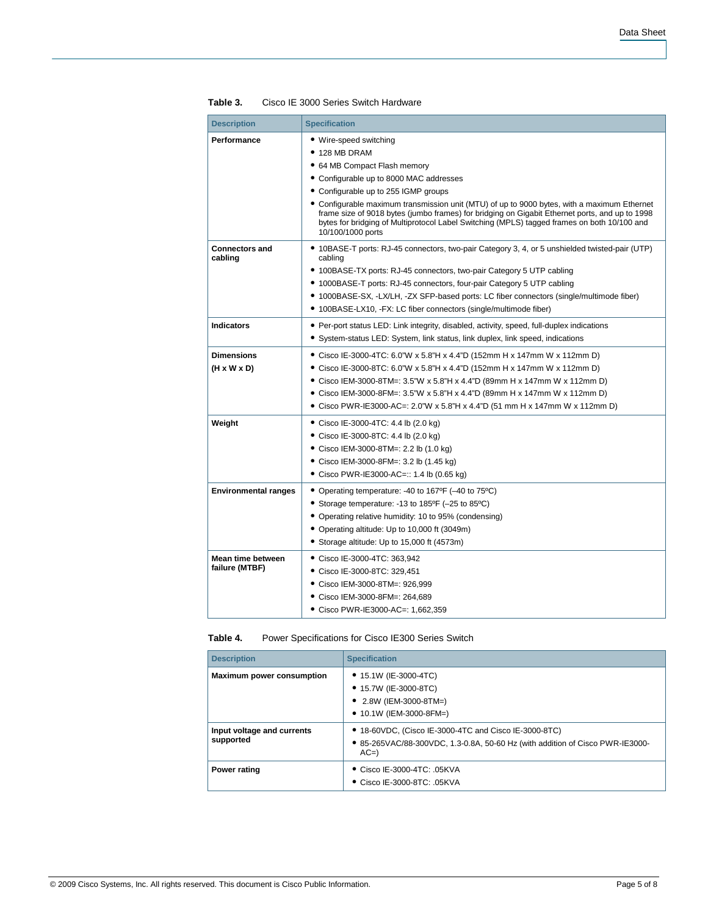| <b>Description</b>                           | <b>Specification</b>                                                                                                                                                                                                                                                                                                                                                                                                                                               |
|----------------------------------------------|--------------------------------------------------------------------------------------------------------------------------------------------------------------------------------------------------------------------------------------------------------------------------------------------------------------------------------------------------------------------------------------------------------------------------------------------------------------------|
| Performance                                  | • Wire-speed switching<br>$\bullet$ 128 MB DRAM<br>• 64 MB Compact Flash memory<br>• Configurable up to 8000 MAC addresses<br>• Configurable up to 255 IGMP groups<br>• Configurable maximum transmission unit (MTU) of up to 9000 bytes, with a maximum Ethernet<br>frame size of 9018 bytes (jumbo frames) for bridging on Gigabit Ethernet ports, and up to 1998<br>bytes for bridging of Multiprotocol Label Switching (MPLS) tagged frames on both 10/100 and |
| <b>Connectors and</b><br>cabling             | 10/100/1000 ports<br>• 10BASE-T ports: RJ-45 connectors, two-pair Category 3, 4, or 5 unshielded twisted-pair (UTP)<br>cabling<br>• 100BASE-TX ports: RJ-45 connectors, two-pair Category 5 UTP cabling<br>• 1000BASE-T ports: RJ-45 connectors, four-pair Category 5 UTP cabling<br>• 1000BASE-SX, -LX/LH, -ZX SFP-based ports: LC fiber connectors (single/multimode fiber)<br>• 100BASE-LX10, -FX: LC fiber connectors (single/multimode fiber)                 |
| <b>Indicators</b>                            | • Per-port status LED: Link integrity, disabled, activity, speed, full-duplex indications<br>• System-status LED: System, link status, link duplex, link speed, indications                                                                                                                                                                                                                                                                                        |
| <b>Dimensions</b><br>$(H \times W \times D)$ | • Cisco IE-3000-4TC: 6.0"W x 5.8"H x 4.4"D (152mm H x 147mm W x 112mm D)<br>● Cisco IE-3000-8TC: 6.0"W x 5.8"H x 4.4"D (152mm H x 147mm W x 112mm D)<br>● Cisco IEM-3000-8TM=: 3.5"W x 5.8"H x 4.4"D (89mm H x 147mm W x 112mm D)<br>● Cisco IEM-3000-8FM=: 3.5"W x 5.8"H x 4.4"D (89mm H x 147mm W x 112mm D)<br>● Cisco PWR-IE3000-AC=: 2.0"W x 5.8"H x 4.4"D (51 mm H x 147mm W x 112mm D)                                                                      |
| Weight                                       | Cisco IE-3000-4TC: 4.4 lb (2.0 kg)<br>• Cisco IE-3000-8TC: 4.4 lb $(2.0 \text{ kg})$<br>● Cisco IEM-3000-8TM=: 2.2 lb (1.0 kg)<br>● Cisco IEM-3000-8FM=: 3.2 lb (1.45 kg)<br>• Cisco PWR-IE3000-AC=:: 1.4 lb (0.65 kg)                                                                                                                                                                                                                                             |
| <b>Environmental ranges</b>                  | • Operating temperature: -40 to 167°F (-40 to 75°C)<br>• Storage temperature: -13 to 185°F (-25 to 85°C)<br>• Operating relative humidity: 10 to 95% (condensing)<br>• Operating altitude: Up to 10,000 ft (3049m)<br>• Storage altitude: Up to 15,000 ft (4573m)                                                                                                                                                                                                  |
| Mean time between<br>failure (MTBF)          | Cisco IE-3000-4TC: 363,942<br>Cisco IE-3000-8TC: 329,451<br>Cisco IEM-3000-8TM=: 926,999<br>Cisco IEM-3000-8FM=: 264,689<br>● Cisco PWR-IE3000-AC=: 1,662,359                                                                                                                                                                                                                                                                                                      |

**Table 3.** Cisco IE 3000 Series Switch Hardware

**Table 4.** Power Specifications for Cisco IE300 Series Switch

| <b>Description</b>                      | <b>Specification</b>                                                                                                                            |  |
|-----------------------------------------|-------------------------------------------------------------------------------------------------------------------------------------------------|--|
| <b>Maximum power consumption</b>        | $\bullet$ 15.1W (IE-3000-4TC)<br>• 15.7W (IE-3000-8TC)<br>• 2.8W (IEM-3000-8TM=)<br>• $10.1W$ (IEM-3000-8FM=)                                   |  |
| Input voltage and currents<br>supported | • 18-60VDC, (Cisco IE-3000-4TC and Cisco IE-3000-8TC)<br>• 85-265VAC/88-300VDC, 1.3-0.8A, 50-60 Hz (with addition of Cisco PWR-IE3000-<br>$AC=$ |  |
| Power rating                            | ● Cisco IE-3000-4TC: .05KVA<br>$\bullet$ Cisco IE-3000-8TC: .05KVA                                                                              |  |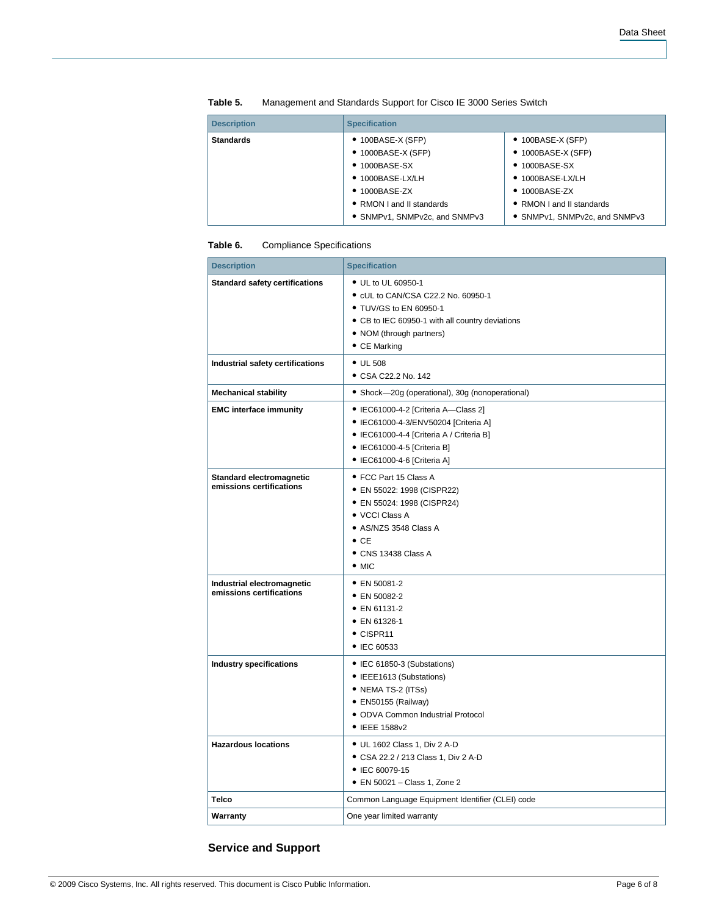| <b>Description</b> | <b>Specification</b>                                                                                                                                                                                |                                                                                                                                                                                                     |
|--------------------|-----------------------------------------------------------------------------------------------------------------------------------------------------------------------------------------------------|-----------------------------------------------------------------------------------------------------------------------------------------------------------------------------------------------------|
| <b>Standards</b>   | $\bullet$ 100BASE-X (SFP)<br>$\bullet$ 1000BASE-X (SFP)<br>$\bullet$ 1000BASE-SX<br>$\bullet$ 1000BASE-LX/LH<br>$\bullet$ 1000BASE-ZX<br>• RMON I and II standards<br>• SNMPv1, SNMPv2c, and SNMPv3 | $\bullet$ 100BASE-X (SFP)<br>$\bullet$ 1000BASE-X (SFP)<br>$\bullet$ 1000BASE-SX<br>$\bullet$ 1000BASE-LX/LH<br>$\bullet$ 1000BASE-ZX<br>• RMON I and II standards<br>• SNMPv1, SNMPv2c, and SNMPv3 |

| Table 5. |  |  | Management and Standards Support for Cisco IE 3000 Series Switch |
|----------|--|--|------------------------------------------------------------------|
|----------|--|--|------------------------------------------------------------------|

### **Table 6.** Compliance Specifications

| <b>Description</b>                                     | <b>Specification</b>                                                                                                                                                                  |
|--------------------------------------------------------|---------------------------------------------------------------------------------------------------------------------------------------------------------------------------------------|
| <b>Standard safety certifications</b>                  | • UL to UL 60950-1<br>• cUL to CAN/CSA C22.2 No. 60950-1<br>• TUV/GS to EN 60950-1<br>• CB to IEC 60950-1 with all country deviations<br>• NOM (through partners)<br>• CE Marking     |
| Industrial safety certifications                       | $\bullet$ UL 508<br>• CSA C22.2 No. 142                                                                                                                                               |
| <b>Mechanical stability</b>                            | • Shock-20g (operational), 30g (nonoperational)                                                                                                                                       |
| <b>EMC</b> interface immunity                          | • IEC61000-4-2 [Criteria A-Class 2]<br>• IEC61000-4-3/ENV50204 [Criteria A]<br>• IEC61000-4-4 [Criteria A / Criteria B]<br>• IEC61000-4-5 [Criteria B]<br>• IEC61000-4-6 [Criteria A] |
| Standard electromagnetic<br>emissions certifications   | • FCC Part 15 Class A<br>• EN 55022: 1998 (CISPR22)<br>• EN 55024: 1998 (CISPR24)<br>• VCCI Class A<br>• AS/NZS 3548 Class A<br>$\bullet$ CE<br>• CNS 13438 Class A<br>$\bullet$ MIC  |
| Industrial electromagnetic<br>emissions certifications | • EN 50081-2<br>• EN 50082-2<br>• EN 61131-2<br>• EN 61326-1<br>• CISPR11<br>• IEC 60533                                                                                              |
| Industry specifications                                | • IEC 61850-3 (Substations)<br>• IEEE1613 (Substations)<br>• NEMA TS-2 (ITSs)<br>· EN50155 (Railway)<br>• ODVA Common Industrial Protocol<br>• IEEE 1588v2                            |
| <b>Hazardous locations</b>                             | • UL 1602 Class 1, Div 2 A-D<br>• CSA 22.2 / 213 Class 1, Div 2 A-D<br>• IEC 60079-15<br>• EN 50021 - Class 1, Zone 2                                                                 |
| <b>Telco</b>                                           | Common Language Equipment Identifier (CLEI) code                                                                                                                                      |
| Warranty                                               | One year limited warranty                                                                                                                                                             |

# **Service and Support**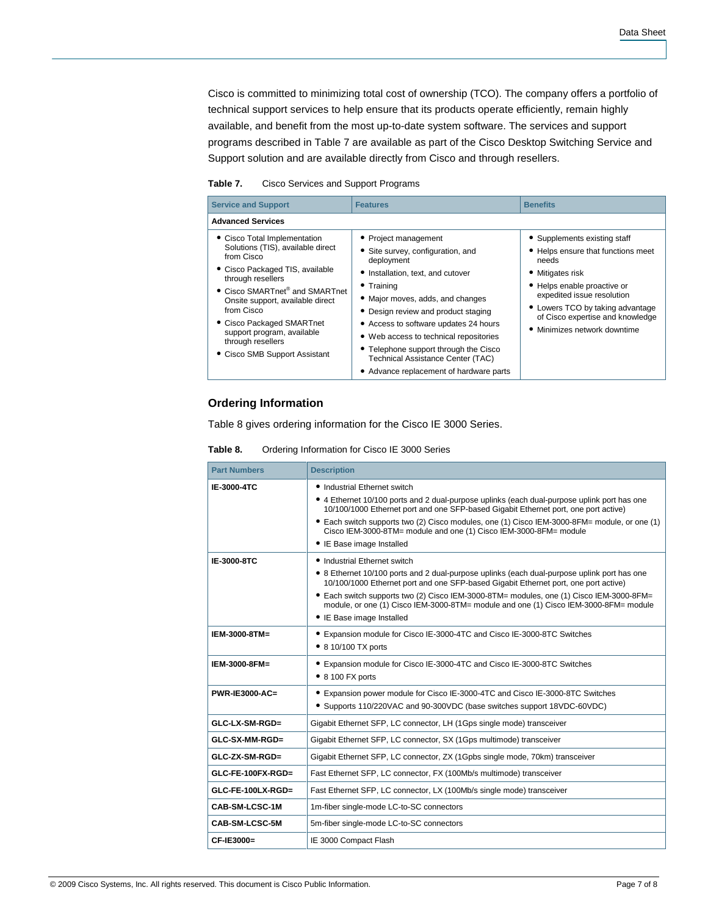Cisco is committed to minimizing total cost of ownership (TCO). The company offers a portfolio of technical support services to help ensure that its products operate efficiently, remain highly available, and benefit from the most up-to-date system software. The services and support programs described in Table 7 are available as part of the Cisco Desktop Switching Service and Support solution and are available directly from Cisco and through resellers.

**Table 7.** Cisco Services and Support Programs

| <b>Service and Support</b>                                                                                                                                                                                                                                                                                                                               | <b>Features</b>                                                                                                                                                                                                                                                                                                                                                                                                                  | <b>Benefits</b>                                                                                                                                                                                                                                                      |
|----------------------------------------------------------------------------------------------------------------------------------------------------------------------------------------------------------------------------------------------------------------------------------------------------------------------------------------------------------|----------------------------------------------------------------------------------------------------------------------------------------------------------------------------------------------------------------------------------------------------------------------------------------------------------------------------------------------------------------------------------------------------------------------------------|----------------------------------------------------------------------------------------------------------------------------------------------------------------------------------------------------------------------------------------------------------------------|
| <b>Advanced Services</b>                                                                                                                                                                                                                                                                                                                                 |                                                                                                                                                                                                                                                                                                                                                                                                                                  |                                                                                                                                                                                                                                                                      |
| • Cisco Total Implementation<br>Solutions (TIS), available direct<br>from Cisco<br>• Cisco Packaged TIS, available<br>through resellers<br>• Cisco SMARTnet <sup>®</sup> and SMARTnet<br>Onsite support, available direct<br>from Cisco<br>• Cisco Packaged SMARTnet<br>support program, available<br>through resellers<br>• Cisco SMB Support Assistant | • Project management<br>• Site survey, configuration, and<br>deployment<br>• Installation, text, and cutover<br>$\bullet$ Training<br>• Major moves, adds, and changes<br>• Design review and product staging<br>• Access to software updates 24 hours<br>• Web access to technical repositories<br>• Telephone support through the Cisco<br><b>Technical Assistance Center (TAC)</b><br>• Advance replacement of hardware parts | • Supplements existing staff<br>• Helps ensure that functions meet<br>needs<br>• Mitigates risk<br>• Helps enable proactive or<br>expedited issue resolution<br>• Lowers TCO by taking advantage<br>of Cisco expertise and knowledge<br>• Minimizes network downtime |

### **Ordering Information**

Table 8 gives ordering information for the Cisco IE 3000 Series.

**Table 8.** Ordering Information for Cisco IE 3000 Series

| <b>Part Numbers</b>   | <b>Description</b>                                                                                                                                                                                           |
|-----------------------|--------------------------------------------------------------------------------------------------------------------------------------------------------------------------------------------------------------|
| IE-3000-4TC           | • Industrial Ethernet switch                                                                                                                                                                                 |
|                       | • 4 Ethernet 10/100 ports and 2 dual-purpose uplinks (each dual-purpose uplink port has one<br>10/100/1000 Ethernet port and one SFP-based Gigabit Ethernet port, one port active)                           |
|                       | • Each switch supports two (2) Cisco modules, one (1) Cisco IEM-3000-8FM= module, or one (1)<br>Cisco IEM-3000-8TM= module and one (1) Cisco IEM-3000-8FM= module                                            |
|                       | • IE Base image Installed                                                                                                                                                                                    |
| IE-3000-8TC           | • Industrial Ethernet switch                                                                                                                                                                                 |
|                       | • 8 Ethernet 10/100 ports and 2 dual-purpose uplinks (each dual-purpose uplink port has one<br>10/100/1000 Ethernet port and one SFP-based Gigabit Ethernet port, one port active)                           |
|                       | • Each switch supports two (2) Cisco IEM-3000-8TM= modules, one (1) Cisco IEM-3000-8FM=<br>module, or one (1) Cisco IEM-3000-8TM= module and one (1) Cisco IEM-3000-8FM= module<br>• IE Base image Installed |
| IEM-3000-8TM=         | • Expansion module for Cisco IE-3000-4TC and Cisco IE-3000-8TC Switches                                                                                                                                      |
|                       | • 8 10/100 TX ports                                                                                                                                                                                          |
| IEM-3000-8FM=         | • Expansion module for Cisco IE-3000-4TC and Cisco IE-3000-8TC Switches                                                                                                                                      |
|                       | $\bullet$ 8 100 FX ports                                                                                                                                                                                     |
| <b>PWR-IE3000-AC=</b> | • Expansion power module for Cisco IE-3000-4TC and Cisco IE-3000-8TC Switches                                                                                                                                |
|                       | • Supports 110/220VAC and 90-300VDC (base switches support 18VDC-60VDC)                                                                                                                                      |
| $GLC-LX-SM-RGD=$      | Gigabit Ethernet SFP, LC connector, LH (1Gps single mode) transceiver                                                                                                                                        |
| GLC-SX-MM-RGD=        | Gigabit Ethernet SFP, LC connector, SX (1Gps multimode) transceiver                                                                                                                                          |
| $GLC-ZX-SM-RGD=$      | Gigabit Ethernet SFP, LC connector, ZX (1Gpbs single mode, 70km) transceiver                                                                                                                                 |
| $GLC$ -FE-100FX-RGD=  | Fast Ethernet SFP, LC connector, FX (100Mb/s multimode) transceiver                                                                                                                                          |
| $GLC$ -FE-100LX-RGD=  | Fast Ethernet SFP, LC connector, LX (100Mb/s single mode) transceiver                                                                                                                                        |
| CAB-SM-LCSC-1M        | 1m-fiber single-mode LC-to-SC connectors                                                                                                                                                                     |
| CAB-SM-LCSC-5M        | 5m-fiber single-mode LC-to-SC connectors                                                                                                                                                                     |
| CF-IE3000=            | IE 3000 Compact Flash                                                                                                                                                                                        |